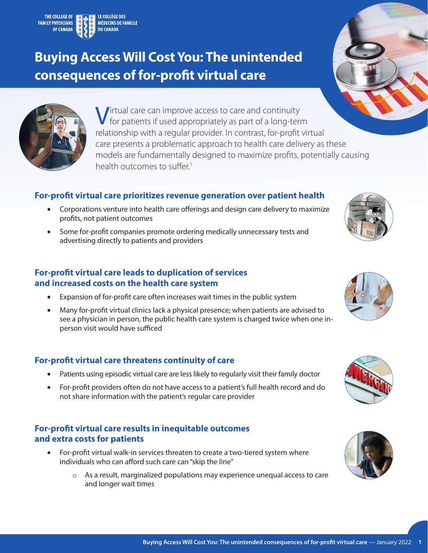# **Buying Access Will Cost You: The unintended consequences of for-profit virtual care**



## **For-profit virtual care prioritizes revenue generation over patient health**

- Corporations venture into health care offerings and design care delivery to maximize profits, not patient outcomes
- Some for-profit companies promote ordering medically unnecessary tests and advertising directly to patients and providers

## **For-profit virtual care leads to duplication of services and increased costs on the health care system**

- Expansion of for-profit care often increases wait times in the public system
- Many for-profit virtual clinics lack a physical presence; when patients are advised to see a physician in person, the public health care system is charged twice when one inperson visit would have sufficed

## **For-profit virtual care threatens continuity of care**

- Patients using episodic virtual care are less likely to regularly visit their family doctor
- For-profit providers often do not have access to a patient's full health record and do not share information with the patient's regular care provider

# **For-profit virtual care results in inequitable outcomes and extra costs for patients**

- For-profit virtual walk-in services threaten to create a two-tiered system where individuals who can afford such care can "skip the line"
	- o As a result, marginalized populations may experience unequal access to care and longer wait times









<span id="page-0-0"></span>